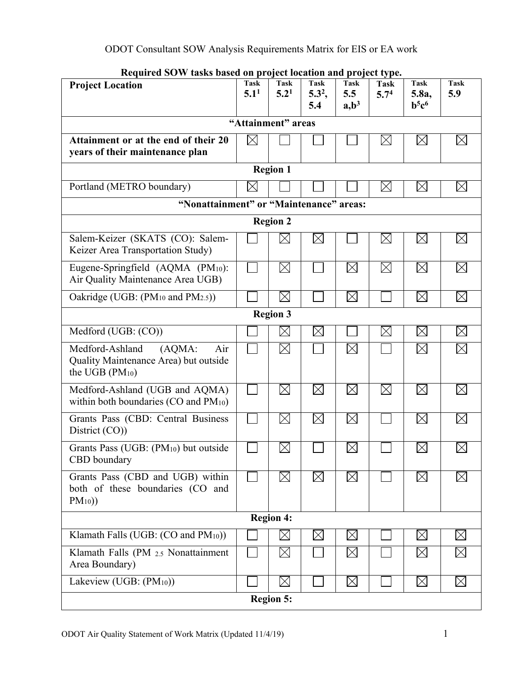| iniquit cu bo w tashs bascu on project iocation and project type.<br><b>Project Location</b>     | Task<br>5.1 <sup>1</sup> | Task<br>5.2 <sup>1</sup> | Task<br>$5.3^2$ ,<br>5.4 | Task<br>5.5<br>$a, b^3$ | <b>Task</b><br>5.7 <sup>4</sup> | <b>Task</b><br>5.8a,<br>$b^5c^6$ | <b>Task</b><br>5.9 |
|--------------------------------------------------------------------------------------------------|--------------------------|--------------------------|--------------------------|-------------------------|---------------------------------|----------------------------------|--------------------|
| "Attainment" areas                                                                               |                          |                          |                          |                         |                                 |                                  |                    |
| Attainment or at the end of their 20<br>years of their maintenance plan                          | $\boxtimes$              |                          |                          |                         | $\boxtimes$                     | $\boxtimes$                      | $\boxtimes$        |
| <b>Region 1</b>                                                                                  |                          |                          |                          |                         |                                 |                                  |                    |
| Portland (METRO boundary)                                                                        | $\boxtimes$              |                          |                          |                         | $\boxtimes$                     | $\boxtimes$                      | $\boxtimes$        |
| "Nonattainment" or "Maintenance" areas:                                                          |                          |                          |                          |                         |                                 |                                  |                    |
|                                                                                                  |                          | <b>Region 2</b>          |                          |                         |                                 |                                  |                    |
| Salem-Keizer (SKATS (CO): Salem-<br>Keizer Area Transportation Study)                            |                          | $\times$                 | $\boxtimes$              |                         | $\boxtimes$                     | $\boxtimes$                      | $\boxtimes$        |
| Eugene-Springfield (AQMA (PM10):<br>Air Quality Maintenance Area UGB)                            |                          | $\boxtimes$              |                          | $\boxtimes$             | $\boxtimes$                     | $\boxtimes$                      | $\boxtimes$        |
| Oakridge (UGB: (PM <sub>10</sub> and PM <sub>2.5</sub> ))                                        |                          | $\boxtimes$              |                          | $\boxtimes$             |                                 | $\boxtimes$                      | $\boxtimes$        |
|                                                                                                  |                          | <b>Region 3</b>          |                          |                         |                                 |                                  |                    |
| Medford (UGB: (CO))                                                                              |                          | $\boxtimes$              | $\boxtimes$              |                         | $\boxtimes$                     | $\boxtimes$                      | $\boxtimes$        |
| Medford-Ashland<br>(AQMA)<br>Air<br>Quality Maintenance Area) but outside<br>the UGB $(PM_{10})$ |                          | $\boxtimes$              |                          | $\boxtimes$             |                                 | $\boxtimes$                      | $\boxtimes$        |
| Medford-Ashland (UGB and AQMA)<br>within both boundaries (CO and $PM_{10}$ )                     |                          | $\boxtimes$              | $\boxtimes$              | $\boxtimes$             | $\boxtimes$                     | $\boxtimes$                      | $\boxtimes$        |
| Grants Pass (CBD: Central Business<br>District (CO))                                             |                          | $\boxtimes$              | $\boxtimes$              | $\boxtimes$             |                                 | $\boxtimes$                      | $\boxtimes$        |
| Grants Pass (UGB: (PM <sub>10</sub> ) but outside<br>CBD boundary                                |                          | $\boxtimes$              |                          | $\boxtimes$             |                                 | $\boxtimes$                      | $\boxtimes$        |
| Grants Pass (CBD and UGB) within<br>both of these boundaries (CO and<br>$PM_{10})$               |                          | $\times$                 | $\boxtimes$              | $\boxtimes$             |                                 | $\boxtimes$                      | $\boxtimes$        |
|                                                                                                  |                          | <b>Region 4:</b>         |                          |                         |                                 |                                  |                    |
| Klamath Falls (UGB: $(CO \text{ and } PM_{10})$ )                                                |                          | $\boxtimes$              | $\boxtimes$              | $\boxtimes$             |                                 | $\boxtimes$                      | $\boxtimes$        |
| Klamath Falls (PM 2.5 Nonattainment<br>Area Boundary)                                            |                          | $\boxtimes$              |                          | $\boxtimes$             |                                 | $\boxtimes$                      | $\boxtimes$        |
| Lakeview (UGB: (PM <sub>10</sub> ))                                                              |                          | $\boxtimes$              |                          | $\boxtimes$             |                                 | $\boxtimes$                      | $\boxtimes$        |
|                                                                                                  |                          | <b>Region 5:</b>         |                          |                         |                                 |                                  |                    |

**Required SOW tasks based on project location and project type.**